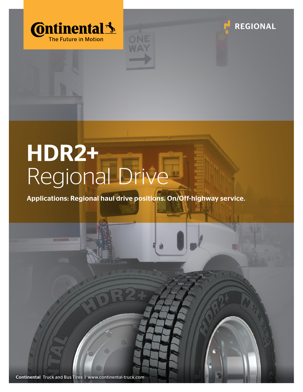





## HDR2+ Regional Drive

Applications: Regional haul drive positions. On/Off-highway service.

Continental Truck and Bus Tires | www.continental-truck.com